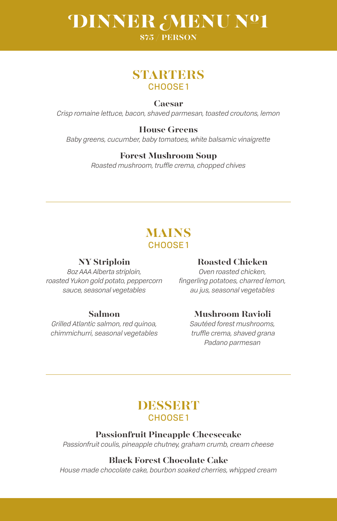# DINNER MENU Nº1

#### **\$75 / PERSON**

# **STARTERS** CHOOSE 1

#### **Caesar**

*Crisp romaine lettuce, bacon, shaved parmesan, toasted croutons, lemon*

#### **House Greens** *Baby greens, cucumber, baby tomatoes, white balsamic vinaigrette*

#### **Forest Mushroom Soup**

*Roasted mushroom, truffle crema, chopped chives*

# **MAINS** CHOOSE 1

#### **NY Striploin**

*8oz AAA Alberta striploin, roasted Yukon gold potato, peppercorn sauce, seasonal vegetables*

#### **Salmon**

*Grilled Atlantic salmon, red quinoa, chimmichurri, seasonal vegetables*

#### **Roasted Chicken**

*Oven roasted chicken, fingerling potatoes, charred lemon, au jus, seasonal vegetables*

#### **Mushroom Ravioli**

*Sautéed forest mushrooms, truffle crema, shaved grana Padano parmesan*

# **DESSERT** CHOOSE 1

#### **Passionfruit Pineapple Cheesecake**

*Passionfruit coulis, pineapple chutney, graham crumb, cream cheese*

#### **Black Forest Chocolate Cake**

*House made chocolate cake, bourbon soaked cherries, whipped cream*